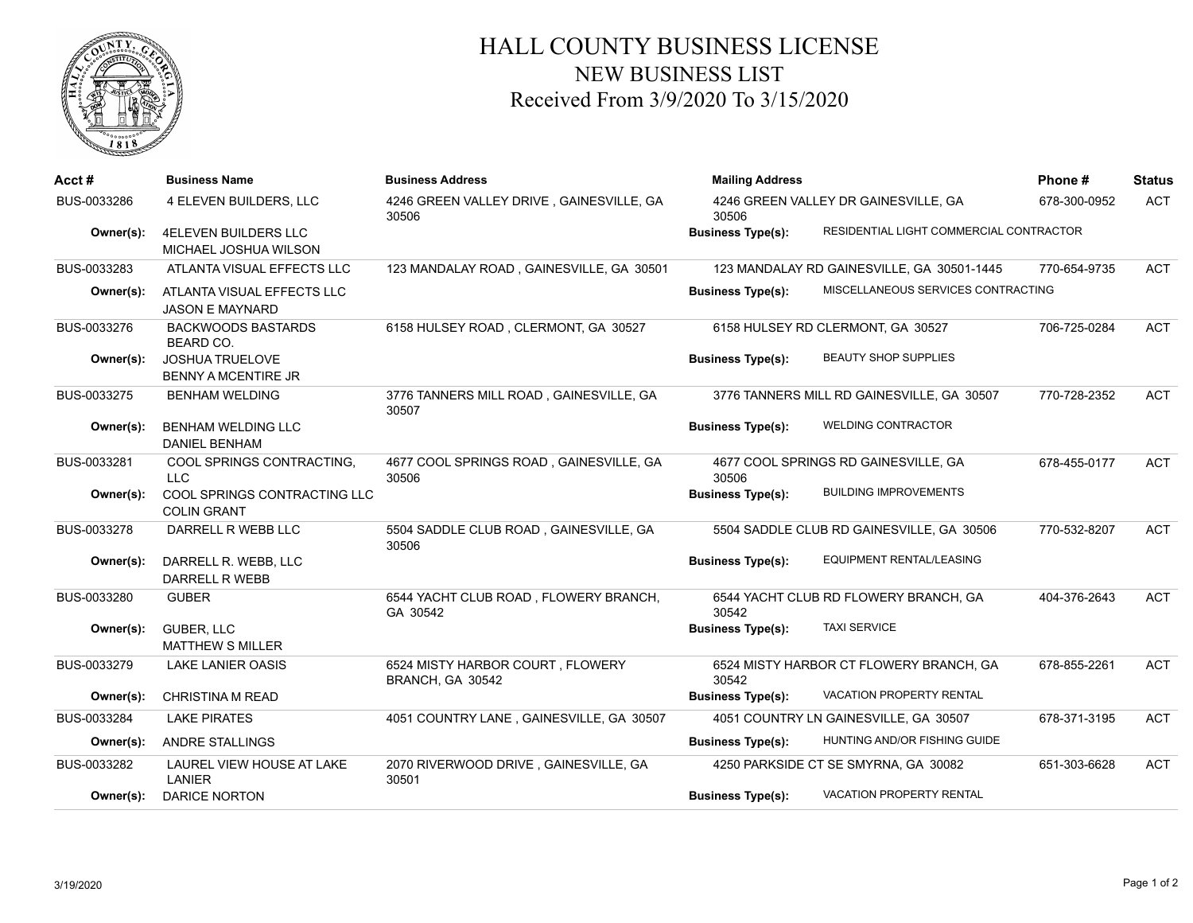

## HALL COUNTY BUSINESS LICENSE NEW BUSINESS LIST Received From 3/9/2020 To 3/15/2020

| $Acct \#$   | <b>Business Name</b>                                 | <b>Business Address</b>                              | <b>Mailing Address</b>                                              | Phone#       | <b>Status</b> |
|-------------|------------------------------------------------------|------------------------------------------------------|---------------------------------------------------------------------|--------------|---------------|
| BUS-0033286 | 4 ELEVEN BUILDERS, LLC                               | 4246 GREEN VALLEY DRIVE, GAINESVILLE, GA<br>30506    | 4246 GREEN VALLEY DR GAINESVILLE, GA<br>30506                       | 678-300-0952 | <b>ACT</b>    |
| Owner(s):   | 4ELEVEN BUILDERS LLC<br>MICHAEL JOSHUA WILSON        |                                                      | RESIDENTIAL LIGHT COMMERCIAL CONTRACTOR<br><b>Business Type(s):</b> |              |               |
| BUS-0033283 | ATLANTA VISUAL EFFECTS LLC                           | 123 MANDALAY ROAD, GAINESVILLE, GA 30501             | 123 MANDALAY RD GAINESVILLE, GA 30501-1445                          | 770-654-9735 | <b>ACT</b>    |
| Owner(s):   | ATLANTA VISUAL EFFECTS LLC<br><b>JASON E MAYNARD</b> |                                                      | MISCELLANEOUS SERVICES CONTRACTING<br><b>Business Type(s):</b>      |              |               |
| BUS-0033276 | <b>BACKWOODS BASTARDS</b><br><b>BEARD CO.</b>        | 6158 HULSEY ROAD, CLERMONT, GA 30527                 | 6158 HULSEY RD CLERMONT, GA 30527                                   | 706-725-0284 | <b>ACT</b>    |
| Owner(s):   | <b>JOSHUA TRUELOVE</b><br>BENNY A MCENTIRE JR        |                                                      | <b>BEAUTY SHOP SUPPLIES</b><br><b>Business Type(s):</b>             |              |               |
| BUS-0033275 | <b>BENHAM WELDING</b>                                | 3776 TANNERS MILL ROAD, GAINESVILLE, GA<br>30507     | 3776 TANNERS MILL RD GAINESVILLE, GA 30507                          | 770-728-2352 | <b>ACT</b>    |
| Owner(s):   | <b>BENHAM WELDING LLC</b><br><b>DANIEL BENHAM</b>    |                                                      | <b>WELDING CONTRACTOR</b><br><b>Business Type(s):</b>               |              |               |
| BUS-0033281 | COOL SPRINGS CONTRACTING.<br><b>LLC</b>              | 4677 COOL SPRINGS ROAD, GAINESVILLE, GA<br>30506     | 4677 COOL SPRINGS RD GAINESVILLE, GA<br>30506                       | 678-455-0177 | <b>ACT</b>    |
| Owner(s):   | COOL SPRINGS CONTRACTING LLC<br><b>COLIN GRANT</b>   |                                                      | <b>BUILDING IMPROVEMENTS</b><br><b>Business Type(s):</b>            |              |               |
| BUS-0033278 | DARRELL R WEBB LLC                                   | 5504 SADDLE CLUB ROAD, GAINESVILLE, GA<br>30506      | 5504 SADDLE CLUB RD GAINESVILLE, GA 30506                           | 770-532-8207 | <b>ACT</b>    |
| Owner(s):   | DARRELL R. WEBB, LLC<br>DARRELL R WEBB               |                                                      | EQUIPMENT RENTAL/LEASING<br><b>Business Type(s):</b>                |              |               |
| BUS-0033280 | <b>GUBER</b>                                         | 6544 YACHT CLUB ROAD, FLOWERY BRANCH,<br>GA 30542    | 6544 YACHT CLUB RD FLOWERY BRANCH, GA<br>30542                      | 404-376-2643 | ACT           |
| Owner(s):   | <b>GUBER, LLC</b><br><b>MATTHEW S MILLER</b>         |                                                      | <b>TAXI SERVICE</b><br><b>Business Type(s):</b>                     |              |               |
| BUS-0033279 | <b>LAKE LANIER OASIS</b>                             | 6524 MISTY HARBOR COURT, FLOWERY<br>BRANCH, GA 30542 | 6524 MISTY HARBOR CT FLOWERY BRANCH, GA<br>30542                    | 678-855-2261 | <b>ACT</b>    |
| Owner(s):   | <b>CHRISTINA M READ</b>                              |                                                      | <b>VACATION PROPERTY RENTAL</b><br><b>Business Type(s):</b>         |              |               |
| BUS-0033284 | <b>LAKE PIRATES</b>                                  | 4051 COUNTRY LANE, GAINESVILLE, GA 30507             | 4051 COUNTRY LN GAINESVILLE, GA 30507                               | 678-371-3195 | <b>ACT</b>    |
| Owner(s):   | <b>ANDRE STALLINGS</b>                               |                                                      | HUNTING AND/OR FISHING GUIDE<br><b>Business Type(s):</b>            |              |               |
| BUS-0033282 | LAUREL VIEW HOUSE AT LAKE<br>LANIER                  | 2070 RIVERWOOD DRIVE, GAINESVILLE, GA<br>30501       | 4250 PARKSIDE CT SE SMYRNA, GA 30082                                | 651-303-6628 | <b>ACT</b>    |
| Owner(s):   | <b>DARICE NORTON</b>                                 |                                                      | VACATION PROPERTY RENTAL<br><b>Business Type(s):</b>                |              |               |